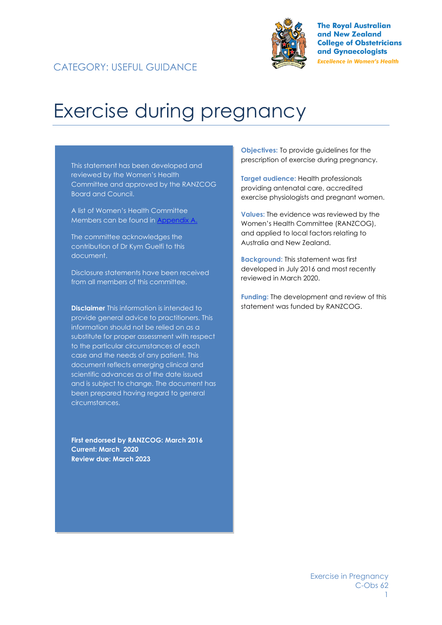



**The Royal Australian** and New Zealand **College of Obstetricians** and Gynaecologists **Excellence in Women's Health** 

# Exercise during pregnancy

This statement has been developed and reviewed by the Women's Health Committee and approved by the RANZCOG Board and Council.

A list of Women's Health Committee Members can be found in Appendix A.

The committee acknowledges the contribution of Dr Kym Guelfi to this document.

Disclosure statements have been received from all members of this committee.

**Disclaimer** This information is intended to provide general advice to practitioners. This information should not be relied on as a substitute for proper assessment with respect to the particular circumstances of each case and the needs of any patient. This document reflects emerging clinical and scientific advances as of the date issued and is subject to change. The document has been prepared having regard to general circumstances.

**First endorsed by RANZCOG: March 2016 Current: March 2020 Review due: March 2023**

**Objectives:** To provide guidelines for the prescription of exercise during pregnancy.

**Target audience:** Health professionals providing antenatal care, accredited exercise physiologists and pregnant women.

**Values:** The evidence was reviewed by the Women's Health Committee (RANZCOG), and applied to local factors relating to Australia and New Zealand.

**Background:** This statement was first developed in July 2016 and most recently reviewed in March 2020.

**Funding:** The development and review of this statement was funded by RANZCOG.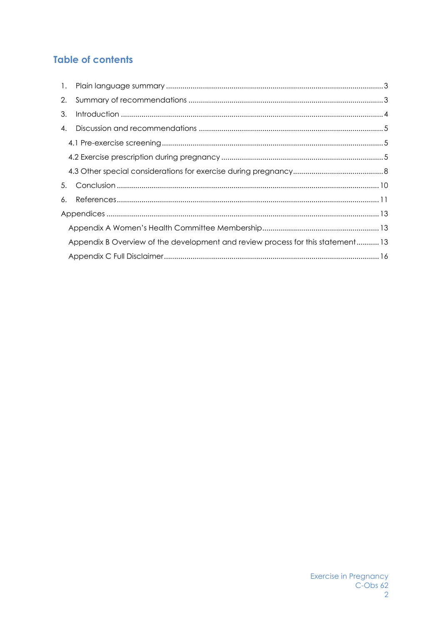# **Table of contents**

| 2. |                                                                                |  |
|----|--------------------------------------------------------------------------------|--|
| 3. |                                                                                |  |
| 4. |                                                                                |  |
|    |                                                                                |  |
|    |                                                                                |  |
|    |                                                                                |  |
| 5. |                                                                                |  |
| 6. |                                                                                |  |
|    |                                                                                |  |
|    |                                                                                |  |
|    | Appendix B Overview of the development and review process for this statement13 |  |
|    |                                                                                |  |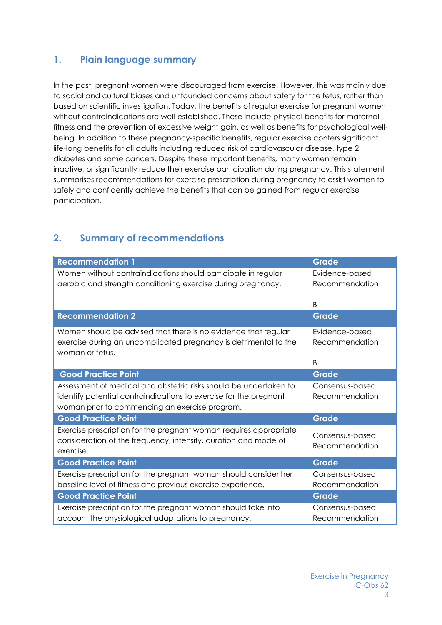# <span id="page-2-0"></span>**1. Plain language summary**

In the past, pregnant women were discouraged from exercise. However, this was mainly due to social and cultural biases and unfounded concerns about safety for the fetus, rather than based on scientific investigation. Today, the benefits of regular exercise for pregnant women without contraindications are well-established. These include physical benefits for maternal fitness and the prevention of excessive weight gain, as well as benefits for psychological wellbeing. In addition to these pregnancy-specific benefits, regular exercise confers significant life-long benefits for all adults including reduced risk of cardiovascular disease, type 2 diabetes and some cancers. Despite these important benefits, many women remain inactive, or significantly reduce their exercise participation during pregnancy. This statement summarises recommendations for exercise prescription during pregnancy to assist women to safely and confidently achieve the benefits that can be gained from regular exercise participation.

#### **Recommendation 1 Grade**  Women without contraindications should participate in regular aerobic and strength conditioning exercise during pregnancy. Evidence-based Recommendation B **Recommendation 2 Grade** Women should be advised that there is no evidence that regular exercise during an uncomplicated pregnancy is detrimental to the woman or fetus. Evidence-based Recommendation B **Good Practice Point Grade** Assessment of medical and obstetric risks should be undertaken to identify potential contraindications to exercise for the pregnant woman prior to commencing an exercise program. Consensus-based Recommendation **Good Practice Point Grade** Exercise prescription for the pregnant woman requires appropriate consideration of the frequency, intensity, duration and mode of exercise. Consensus-based Recommendation **Good Practice Point Grade** Exercise prescription for the pregnant woman should consider her baseline level of fitness and previous exercise experience. Consensus-based Recommendation **Good Practice Point Grade** Exercise prescription for the pregnant woman should take into account the physiological adaptations to pregnancy. Consensus-based Recommendation

# <span id="page-2-1"></span>**2. Summary of recommendations**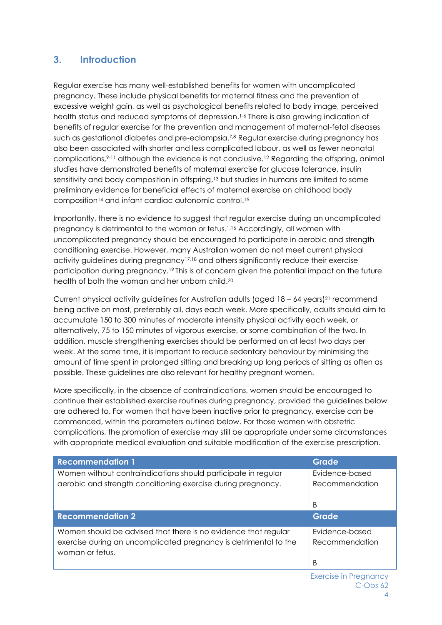# <span id="page-3-0"></span>**3. Introduction**

Regular exercise has many well-established benefits for women with uncomplicated pregnancy. These include physical benefits for maternal fitness and the prevention of excessive weight gain, as well as psychological benefits related to body image, perceived health status and reduced symptoms of depression. 1-6 There is also growing indication of benefits of regular exercise for the prevention and management of maternal-fetal diseases such as gestational diabetes and pre-eclampsia.<sup>7,8</sup> Regular exercise during pregnancy has also been associated with shorter and less complicated labour, as well as fewer neonatal complications,<sup>9-11</sup> although the evidence is not conclusive.<sup>12</sup> Regarding the offspring, animal studies have demonstrated benefits of maternal exercise for glucose tolerance, insulin sensitivity and body composition in offspring, <sup>13</sup> but studies in humans are limited to some preliminary evidence for beneficial effects of maternal exercise on childhood body composition<sup>14</sup> and infant cardiac autonomic control. <sup>15</sup>

Importantly, there is no evidence to suggest that regular exercise during an uncomplicated pregnancy is detrimental to the woman or fetus. 1,16 Accordingly, all women with uncomplicated pregnancy should be encouraged to participate in aerobic and strength conditioning exercise. However, many Australian women do not meet current physical activity guidelines during pregnancy17,18 and others significantly reduce their exercise participation during pregnancy.<sup>19</sup> This is of concern given the potential impact on the future health of both the woman and her unborn child.<sup>20</sup>

Current physical activity guidelines for Australian adults (aged  $18 - 64$  years)<sup>21</sup> recommend being active on most, preferably all, days each week. More specifically, adults should aim to accumulate 150 to 300 minutes of moderate intensity physical activity each week, or alternatively, 75 to 150 minutes of vigorous exercise, or some combination of the two. In addition, muscle strengthening exercises should be performed on at least two days per week. At the same time, it is important to reduce sedentary behaviour by minimising the amount of time spent in prolonged sitting and breaking up long periods of sitting as often as possible. These guidelines are also relevant for healthy pregnant women.

More specifically, in the absence of contraindications, women should be encouraged to continue their established exercise routines during pregnancy, provided the guidelines below are adhered to. For women that have been inactive prior to pregnancy, exercise can be commenced, within the parameters outlined below. For those women with obstetric complications, the promotion of exercise may still be appropriate under some circumstances with appropriate medical evaluation and suitable modification of the exercise prescription.

| <b>Recommendation 1</b>                                                                                                                               | <b>Grade</b>                     |
|-------------------------------------------------------------------------------------------------------------------------------------------------------|----------------------------------|
| Women without contraindications should participate in regular<br>aerobic and strength conditioning exercise during pregnancy.                         | Evidence-based<br>Recommendation |
|                                                                                                                                                       | B                                |
| <b>Recommendation 2</b>                                                                                                                               | <b>Grade</b>                     |
| Women should be advised that there is no evidence that regular<br>exercise during an uncomplicated pregnancy is detrimental to the<br>woman or fetus. | Evidence-based<br>Recommendation |
|                                                                                                                                                       | В                                |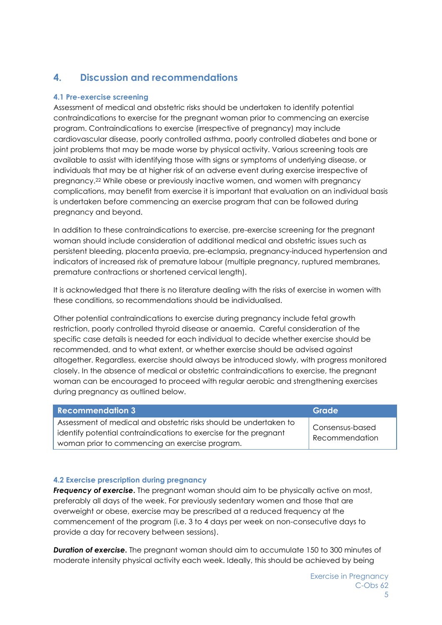# <span id="page-4-0"></span>**4. Discussion and recommendations**

## <span id="page-4-1"></span>**4.1 Pre-exercise screening**

Assessment of medical and obstetric risks should be undertaken to identify potential contraindications to exercise for the pregnant woman prior to commencing an exercise program. Contraindications to exercise (irrespective of pregnancy) may include cardiovascular disease, poorly controlled asthma, poorly controlled diabetes and bone or joint problems that may be made worse by physical activity. Various screening tools are available to assist with identifying those with signs or symptoms of underlying disease, or individuals that may be at higher risk of an adverse event during exercise irrespective of pregnancy.<sup>22</sup> While obese or previously inactive women, and women with pregnancy complications, may benefit from exercise it is important that evaluation on an individual basis is undertaken before commencing an exercise program that can be followed during pregnancy and beyond.

In addition to these contraindications to exercise, pre-exercise screening for the pregnant woman should include consideration of additional medical and obstetric issues such as persistent bleeding, placenta praevia, pre-eclampsia, pregnancy-induced hypertension and indicators of increased risk of premature labour (multiple pregnancy, ruptured membranes, premature contractions or shortened cervical length).

It is acknowledged that there is no literature dealing with the risks of exercise in women with these conditions, so recommendations should be individualised.

Other potential contraindications to exercise during pregnancy include fetal growth restriction, poorly controlled thyroid disease or anaemia. Careful consideration of the specific case details is needed for each individual to decide whether exercise should be recommended, and to what extent, or whether exercise should be advised against altogether. Regardless, exercise should always be introduced slowly, with progress monitored closely. In the absence of medical or obstetric contraindications to exercise, the pregnant woman can be encouraged to proceed with regular aerobic and strengthening exercises during pregnancy as outlined below.

| <b>Recommendation 3</b>                                                                                                                | Grade                             |
|----------------------------------------------------------------------------------------------------------------------------------------|-----------------------------------|
| Assessment of medical and obstetric risks should be undertaken to<br>identify potential contraindications to exercise for the pregnant | Consensus-based<br>Recommendation |
| woman prior to commencing an exercise program.                                                                                         |                                   |

## <span id="page-4-2"></span>**4.2 Exercise prescription during pregnancy**

**Frequency of exercise.** The pregnant woman should aim to be physically active on most, preferably all days of the week. For previously sedentary women and those that are overweight or obese, exercise may be prescribed at a reduced frequency at the commencement of the program (i.e. 3 to 4 days per week on non-consecutive days to provide a day for recovery between sessions).

**Duration of exercise.** The pregnant woman should aim to accumulate 150 to 300 minutes of moderate intensity physical activity each week. Ideally, this should be achieved by being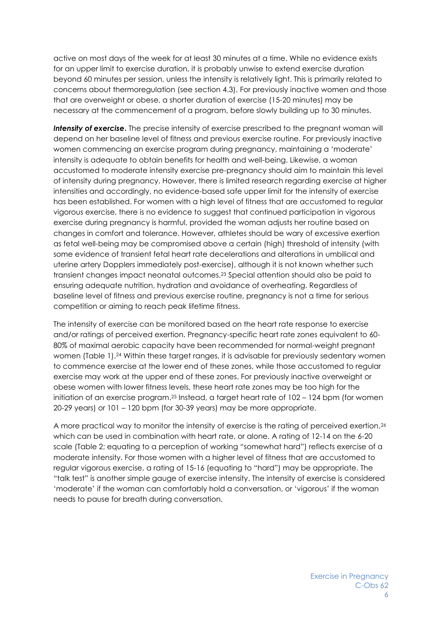active on most days of the week for at least 30 minutes at a time. While no evidence exists for an upper limit to exercise duration, it is probably unwise to extend exercise duration beyond 60 minutes per session, unless the intensity is relatively light. This is primarily related to concerns about thermoregulation (see section 4.3). For previously inactive women and those that are overweight or obese, a shorter duration of exercise (15-20 minutes) may be necessary at the commencement of a program, before slowly building up to 30 minutes.

*Intensity of exercise***.** The precise intensity of exercise prescribed to the pregnant woman will depend on her baseline level of fitness and previous exercise routine. For previously inactive women commencing an exercise program during pregnancy, maintaining a 'moderate' intensity is adequate to obtain benefits for health and well-being. Likewise, a woman accustomed to moderate intensity exercise pre-pregnancy should aim to maintain this level of intensity during pregnancy. However, there is limited research regarding exercise at higher intensities and accordingly, no evidence-based safe upper limit for the intensity of exercise has been established. For women with a high level of fitness that are accustomed to regular vigorous exercise, there is no evidence to suggest that continued participation in vigorous exercise during pregnancy is harmful, provided the woman adjusts her routine based on changes in comfort and tolerance. However, athletes should be wary of excessive exertion as fetal well-being may be compromised above a certain (high) threshold of intensity (with some evidence of transient fetal heart rate decelerations and alterations in umbilical and uterine artery Dopplers immediately post-exercise), although it is not known whether such transient changes impact neonatal outcomes. <sup>23</sup> Special attention should also be paid to ensuring adequate nutrition, hydration and avoidance of overheating. Regardless of baseline level of fitness and previous exercise routine, pregnancy is not a time for serious competition or aiming to reach peak lifetime fitness.

The intensity of exercise can be monitored based on the heart rate response to exercise and/or ratings of perceived exertion. Pregnancy-specific heart rate zones equivalent to 60- 80% of maximal aerobic capacity have been recommended for normal-weight pregnant women (Table 1). <sup>24</sup> Within these target ranges, it is advisable for previously sedentary women to commence exercise at the lower end of these zones, while those accustomed to regular exercise may work at the upper end of these zones. For previously inactive overweight or obese women with lower fitness levels, these heart rate zones may be too high for the initiation of an exercise program. <sup>25</sup> Instead, a target heart rate of 102 – 124 bpm (for women 20-29 years) or 101 – 120 bpm (for 30-39 years) may be more appropriate.

A more practical way to monitor the intensity of exercise is the rating of perceived exertion, 26 which can be used in combination with heart rate, or alone. A rating of 12-14 on the 6-20 scale (Table 2; equating to a perception of working "somewhat hard") reflects exercise of a moderate intensity. For those women with a higher level of fitness that are accustomed to regular vigorous exercise, a rating of 15-16 (equating to "hard") may be appropriate. The "talk test" is another simple gauge of exercise intensity. The intensity of exercise is considered 'moderate' if the woman can comfortably hold a conversation, or 'vigorous' if the woman needs to pause for breath during conversation.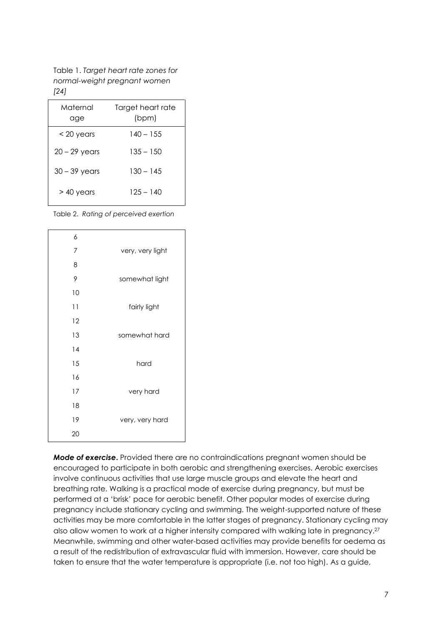Table 1. *Target heart rate zones for normal-weight pregnant women [24]*

| Maternal<br>age | Target heart rate<br>(bpm) |
|-----------------|----------------------------|
| $<$ 20 years    | 140 – 155                  |
| $20 - 29$ years | 135 – 150                  |
| $30 - 39$ years | $130 - 145$                |
| $>$ 40 years    | 125 – 140                  |

Table 2. *Rating of perceived exertion*

| 6  |                  |
|----|------------------|
| 7  | very, very light |
| 8  |                  |
| 9  | somewhat light   |
| 10 |                  |
| 11 | fairly light     |
| 12 |                  |
| 13 | somewhat hard    |
| 14 |                  |
| 15 | hard             |
| 16 |                  |
| 17 | very hard        |
| 18 |                  |
| 19 | very, very hard  |
| 20 |                  |
|    |                  |

*Mode of exercise***.** Provided there are no contraindications pregnant women should be encouraged to participate in both aerobic and strengthening exercises. Aerobic exercises involve continuous activities that use large muscle groups and elevate the heart and breathing rate. Walking is a practical mode of exercise during pregnancy, but must be performed at a 'brisk' pace for aerobic benefit. Other popular modes of exercise during pregnancy include stationary cycling and swimming. The weight-supported nature of these activities may be more comfortable in the latter stages of pregnancy. Stationary cycling may also allow women to work at a higher intensity compared with walking late in pregnancy.<sup>27</sup> Meanwhile, swimming and other water-based activities may provide benefits for oedema as a result of the redistribution of extravascular fluid with immersion. However, care should be taken to ensure that the water temperature is appropriate (i.e. not too high). As a guide,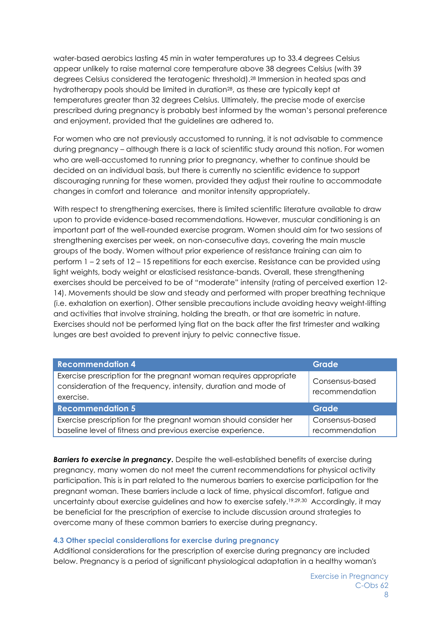water-based aerobics lasting 45 min in water temperatures up to 33.4 degrees Celsius appear unlikely to raise maternal core temperature above 38 degrees Celsius (with 39 degrees Celsius considered the teratogenic threshold).<sup>28</sup> Immersion in heated spas and hydrotherapy pools should be limited in duration<sup>28</sup>, as these are typically kept at temperatures greater than 32 degrees Celsius. Ultimately, the precise mode of exercise prescribed during pregnancy is probably best informed by the woman's personal preference and enjoyment, provided that the guidelines are adhered to.

For women who are not previously accustomed to running, it is not advisable to commence during pregnancy – although there is a lack of scientific study around this notion. For women who are well-accustomed to running prior to pregnancy, whether to continue should be decided on an individual basis, but there is currently no scientific evidence to support discouraging running for these women, provided they adjust their routine to accommodate changes in comfort and tolerance and monitor intensity appropriately.

With respect to strengthening exercises, there is limited scientific literature available to draw upon to provide evidence-based recommendations. However, muscular conditioning is an important part of the well-rounded exercise program. Women should aim for two sessions of strengthening exercises per week, on non-consecutive days, covering the main muscle groups of the body. Women without prior experience of resistance training can aim to perform 1 – 2 sets of 12 – 15 repetitions for each exercise. Resistance can be provided using light weights, body weight or elasticised resistance-bands. Overall, these strengthening exercises should be perceived to be of "moderate" intensity (rating of perceived exertion 12- 14). Movements should be slow and steady and performed with proper breathing technique (i.e. exhalation on exertion). Other sensible precautions include avoiding heavy weight-lifting and activities that involve straining, holding the breath, or that are isometric in nature. Exercises should not be performed lying flat on the back after the first trimester and walking lunges are best avoided to prevent injury to pelvic connective tissue.

| <b>Recommendation 4</b>                                                                                                                           | <b>Grade</b>                      |
|---------------------------------------------------------------------------------------------------------------------------------------------------|-----------------------------------|
| Exercise prescription for the pregnant woman requires appropriate<br>consideration of the frequency, intensity, duration and mode of<br>exercise. | Consensus-based<br>recommendation |
| <b>Recommendation 5</b>                                                                                                                           | Grade                             |
| Exercise prescription for the pregnant woman should consider her                                                                                  | Consensus-based                   |
| baseline level of fitness and previous exercise experience.                                                                                       | recommendation                    |

**Barriers to exercise in pregnancy.** Despite the well-established benefits of exercise during pregnancy, many women do not meet the current recommendations for physical activity participation. This is in part related to the numerous barriers to exercise participation for the pregnant woman. These barriers include a lack of time, physical discomfort, fatigue and uncertainty about exercise guidelines and how to exercise safely.<sup>19,29,30</sup> Accordingly, it may be beneficial for the prescription of exercise to include discussion around strategies to overcome many of these common barriers to exercise during pregnancy.

#### <span id="page-7-0"></span>**4.3 Other special considerations for exercise during pregnancy**

Additional considerations for the prescription of exercise during pregnancy are included below. Pregnancy is a period of significant physiological adaptation in a healthy woman's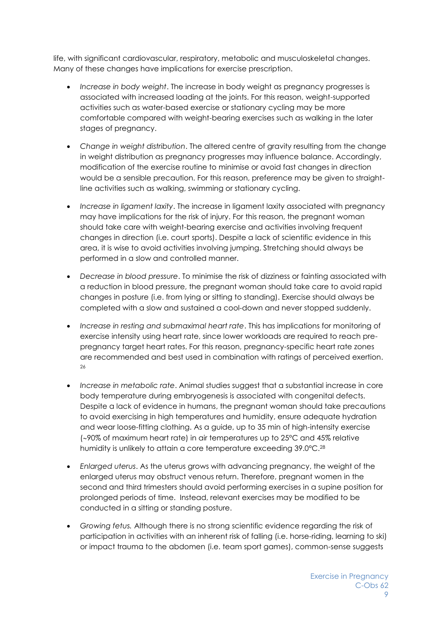life, with significant cardiovascular, respiratory, metabolic and musculoskeletal changes. Many of these changes have implications for exercise prescription.

- *Increase in body weight*. The increase in body weight as pregnancy progresses is associated with increased loading at the joints. For this reason, weight-supported activities such as water-based exercise or stationary cycling may be more comfortable compared with weight-bearing exercises such as walking in the later stages of pregnancy.
- *Change in weight distribution*. The altered centre of gravity resulting from the change in weight distribution as pregnancy progresses may influence balance. Accordingly, modification of the exercise routine to minimise or avoid fast changes in direction would be a sensible precaution. For this reason, preference may be given to straightline activities such as walking, swimming or stationary cycling.
- *Increase in ligament laxity*. The increase in ligament laxity associated with pregnancy may have implications for the risk of injury. For this reason, the pregnant woman should take care with weight-bearing exercise and activities involving frequent changes in direction (i.e. court sports). Despite a lack of scientific evidence in this area, it is wise to avoid activities involving jumping. Stretching should always be performed in a slow and controlled manner.
- *Decrease in blood pressure*. To minimise the risk of dizziness or fainting associated with a reduction in blood pressure, the pregnant woman should take care to avoid rapid changes in posture (i.e. from lying or sitting to standing). Exercise should always be completed with a slow and sustained a cool-down and never stopped suddenly.
- *Increase in resting and submaximal heart rate*. This has implications for monitoring of exercise intensity using heart rate, since lower workloads are required to reach prepregnancy target heart rates. For this reason, pregnancy-specific heart rate zones are recommended and best used in combination with ratings of perceived exertion. 26
- *Increase in metabolic rate*. Animal studies suggest that a substantial increase in core body temperature during embryogenesis is associated with congenital defects. Despite a lack of evidence in humans, the pregnant woman should take precautions to avoid exercising in high temperatures and humidity, ensure adequate hydration and wear loose-fitting clothing. As a guide, up to 35 min of high-intensity exercise (90% of maximum heart rate) in air temperatures up to 25°C and 45% relative humidity is unlikely to attain a core temperature exceeding 39.0°C.<sup>28</sup>
- *Enlarged uterus*. As the uterus grows with advancing pregnancy, the weight of the enlarged uterus may obstruct venous return. Therefore, pregnant women in the second and third trimesters should avoid performing exercises in a supine position for prolonged periods of time. Instead, relevant exercises may be modified to be conducted in a sitting or standing posture.
- *Growing fetus.* Although there is no strong scientific evidence regarding the risk of participation in activities with an inherent risk of falling (i.e. horse-riding, learning to ski) or impact trauma to the abdomen (i.e. team sport games), common-sense suggests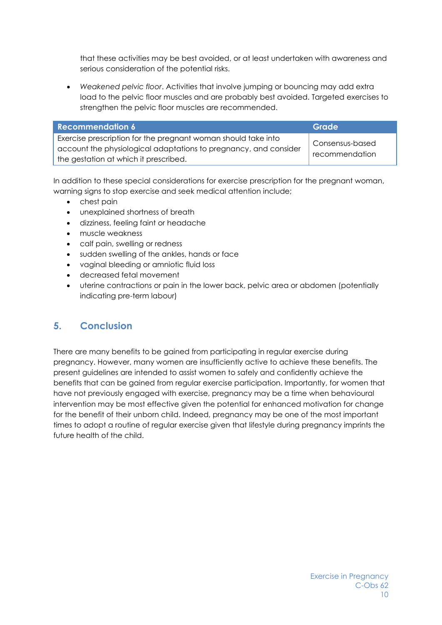that these activities may be best avoided, or at least undertaken with awareness and serious consideration of the potential risks.

• *Weakened pelvic floor*. Activities that involve jumping or bouncing may add extra load to the pelvic floor muscles and are probably best avoided. Targeted exercises to strengthen the pelvic floor muscles are recommended.

| Recommendation 6                                                                                                                                                           | Grade                             |
|----------------------------------------------------------------------------------------------------------------------------------------------------------------------------|-----------------------------------|
| Exercise prescription for the pregnant woman should take into<br>account the physiological adaptations to pregnancy, and consider<br>the gestation at which it prescribed. | Consensus-based<br>recommendation |

In addition to these special considerations for exercise prescription for the pregnant woman, warning signs to stop exercise and seek medical attention include;

- chest pain
- unexplained shortness of breath
- dizziness, feeling faint or headache
- muscle weakness
- calf pain, swelling or redness
- sudden swelling of the ankles, hands or face
- vaginal bleeding or amniotic fluid loss
- decreased fetal movement
- uterine contractions or pain in the lower back, pelvic area or abdomen (potentially indicating pre-term labour)

## <span id="page-9-0"></span>**5. Conclusion**

There are many benefits to be gained from participating in regular exercise during pregnancy. However, many women are insufficiently active to achieve these benefits. The present guidelines are intended to assist women to safely and confidently achieve the benefits that can be gained from regular exercise participation. Importantly, for women that have not previously engaged with exercise, pregnancy may be a time when behavioural intervention may be most effective given the potential for enhanced motivation for change for the benefit of their unborn child. Indeed, pregnancy may be one of the most important times to adopt a routine of regular exercise given that lifestyle during pregnancy imprints the future health of the child.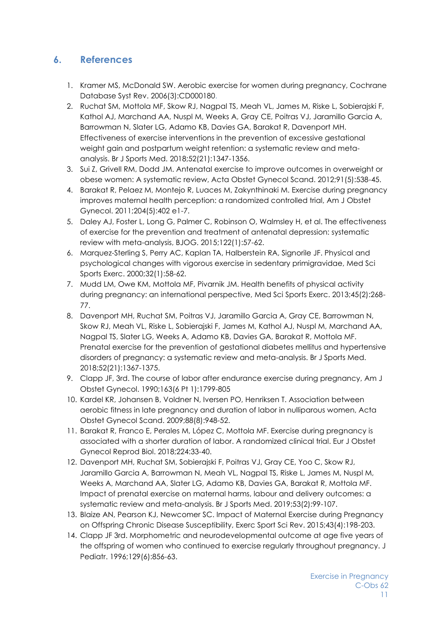# <span id="page-10-0"></span>**6. References**

- 1. Kramer MS, McDonald SW. Aerobic exercise for women during pregnancy, Cochrane Database Syst Rev. 2006(3):CD000180.
- 2. Ruchat SM, Mottola MF, Skow RJ, Nagpal TS, Meah VL, James M, Riske L, Sobierajski F, Kathol AJ, Marchand AA, Nuspl M, Weeks A, Gray CE, Poitras VJ, Jaramillo Garcia A, Barrowman N, Slater LG, Adamo KB, Davies GA, Barakat R, Davenport MH. Effectiveness of exercise interventions in the prevention of excessive gestational weight gain and postpartum weight retention: a systematic review and metaanalysis. Br J Sports Med. 2018;52(21):1347-1356.
- 3. Sui Z, Grivell RM, Dodd JM. Antenatal exercise to improve outcomes in overweight or obese women: A systematic review, Acta Obstet Gynecol Scand. 2012;91(5):538-45.
- 4. Barakat R, Pelaez M, Montejo R, Luaces M, Zakynthinaki M. Exercise during pregnancy improves maternal health perception: a randomized controlled trial, Am J Obstet Gynecol. 2011;204(5):402 e1-7.
- 5. Daley AJ, Foster L, Long G, Palmer C, Robinson O, Walmsley H, et al. The effectiveness of exercise for the prevention and treatment of antenatal depression: systematic review with meta-analysis, BJOG. 2015;122(1):57-62.
- 6. Marquez-Sterling S, Perry AC, Kaplan TA, Halberstein RA, Signorile JF. Physical and psychological changes with vigorous exercise in sedentary primigravidae, Med Sci Sports Exerc. 2000;32(1):58-62.
- 7. Mudd LM, Owe KM, Mottola MF, Pivarnik JM. Health benefits of physical activity during pregnancy: an international perspective, Med Sci Sports Exerc. 2013;45(2):268- 77.
- 8. Davenport MH, Ruchat SM, Poitras VJ, Jaramillo Garcia A, Gray CE, Barrowman N, Skow RJ, Meah VL, Riske L, Sobierajski F, James M, Kathol AJ, Nuspl M, Marchand AA, Nagpal TS, Slater LG, Weeks A, Adamo KB, Davies GA, Barakat R, Mottola MF. Prenatal exercise for the prevention of gestational diabetes mellitus and hypertensive disorders of pregnancy: a systematic review and meta-analysis. Br J Sports Med. 2018;52(21):1367-1375.
- 9. Clapp JF, 3rd. The course of labor after endurance exercise during pregnancy, Am J Obstet Gynecol. 1990;163(6 Pt 1):1799-805
- 10. Kardel KR, Johansen B, Voldner N, Iversen PO, Henriksen T. Association between aerobic fitness in late pregnancy and duration of labor in nulliparous women, Acta Obstet Gynecol Scand. 2009;88(8):948-52.
- 11. Barakat R, Franco E, Perales M, López C, Mottola MF. Exercise during pregnancy is associated with a shorter duration of labor. A randomized clinical trial. Eur J Obstet Gynecol Reprod Biol. 2018;224:33-40.
- 12. Davenport MH, Ruchat SM, Sobierajski F, Poitras VJ, Gray CE, Yoo C, Skow RJ, Jaramillo Garcia A, Barrowman N, Meah VL, Nagpal TS, Riske L, James M, Nuspl M, Weeks A, Marchand AA, Slater LG, Adamo KB, Davies GA, Barakat R, Mottola MF. Impact of prenatal exercise on maternal harms, labour and delivery outcomes: a systematic review and meta-analysis. Br J Sports Med. 2019;53(2):99-107.
- 13. Blaize AN, Pearson KJ, Newcomer SC. Impact of Maternal Exercise during Pregnancy on Offspring Chronic Disease Susceptibility, Exerc Sport Sci Rev. 2015;43(4):198-203.
- 14. Clapp JF 3rd. Morphometric and neurodevelopmental outcome at age five years of the offspring of women who continued to exercise regularly throughout pregnancy. J Pediatr. 1996;129(6):856-63.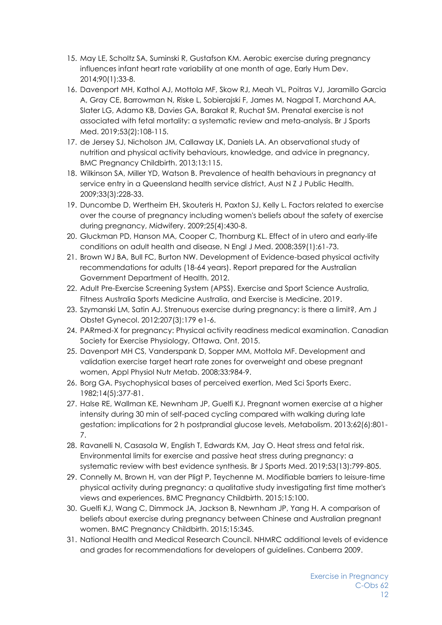- 15. May LE, Scholtz SA, Suminski R, Gustafson KM. Aerobic exercise during pregnancy influences infant heart rate variability at one month of age, Early Hum Dev. 2014;90(1):33-8.
- 16. Davenport MH, Kathol AJ, Mottola MF, Skow RJ, Meah VL, Poitras VJ, Jaramillo Garcia A, Gray CE, Barrowman N, Riske L, Sobierajski F, James M, Nagpal T, Marchand AA, Slater LG, Adamo KB, Davies GA, Barakat R, Ruchat SM. Prenatal exercise is not associated with fetal mortality: a systematic review and meta-analysis. Br J Sports Med. 2019;53(2):108-115.
- 17. de Jersey SJ, Nicholson JM, Callaway LK, Daniels LA. An observational study of nutrition and physical activity behaviours, knowledge, and advice in pregnancy, BMC Pregnancy Childbirth. 2013;13:115.
- 18. Wilkinson SA, Miller YD, Watson B. Prevalence of health behaviours in pregnancy at service entry in a Queensland health service district, Aust N Z J Public Health. 2009;33(3):228-33.
- 19. Duncombe D, Wertheim EH, Skouteris H, Paxton SJ, Kelly L. Factors related to exercise over the course of pregnancy including women's beliefs about the safety of exercise during pregnancy, Midwifery. 2009;25(4):430-8.
- 20. Gluckman PD, Hanson MA, Cooper C, Thornburg KL. Effect of in utero and early-life conditions on adult health and disease, N Engl J Med. 2008;359(1):61-73.
- 21. Brown WJ BA, Bull FC, Burton NW. Development of Evidence-based physical activity recommendations for adults (18-64 years). Report prepared for the Australian Government Department of Health. 2012.
- 22. Adult Pre-Exercise Screening System (APSS). Exercise and Sport Science Australia, Fitness Australia Sports Medicine Australia, and Exercise is Medicine. 2019.
- 23. Szymanski LM, Satin AJ. Strenuous exercise during pregnancy: is there a limit?, Am J Obstet Gynecol. 2012;207(3):179 e1-6.
- 24. PARmed-X for pregnancy: Physical activity readiness medical examination. Canadian Society for Exercise Physiology, Ottawa, Ont. 2015.
- 25. Davenport MH CS, Vanderspank D, Sopper MM, Mottola MF. Development and validation exercise target heart rate zones for overweight and obese pregnant women, Appl Physiol Nutr Metab. 2008;33:984-9.
- 26. Borg GA. Psychophysical bases of perceived exertion, Med Sci Sports Exerc. 1982;14(5):377-81.
- 27. Halse RE, Wallman KE, Newnham JP, Guelfi KJ. Pregnant women exercise at a higher intensity during 30 min of self-paced cycling compared with walking during late gestation: implications for 2 h postprandial glucose levels, Metabolism. 2013;62(6):801- 7.
- 28. Ravanelli N, Casasola W, English T, Edwards KM, Jay O. Heat stress and fetal risk. Environmental limits for exercise and passive heat stress during pregnancy: a systematic review with best evidence synthesis. Br J Sports Med. 2019;53(13):799-805.
- 29. Connelly M, Brown H, van der Pligt P, Teychenne M. Modifiable barriers to leisure-time physical activity during pregnancy: a qualitative study investigating first time mother's views and experiences, BMC Pregnancy Childbirth. 2015;15:100.
- 30. Guelfi KJ, Wang C, Dimmock JA, Jackson B, Newnham JP, Yang H. A comparison of beliefs about exercise during pregnancy between Chinese and Australian pregnant women. BMC Pregnancy Childbirth. 2015;15:345.
- 31. National Health and Medical Research Council. NHMRC additional levels of evidence and grades for recommendations for developers of guidelines. Canberra 2009.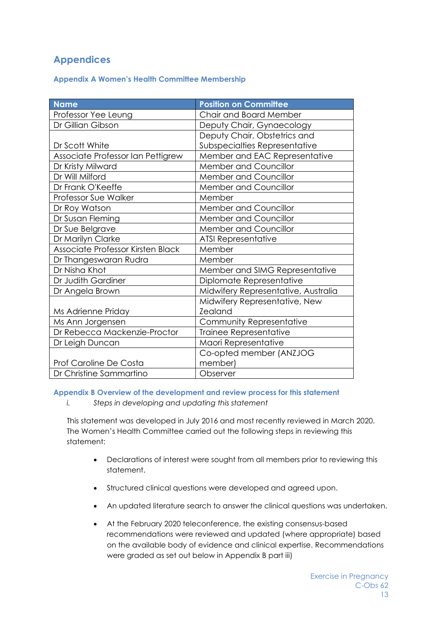# <span id="page-12-0"></span>**Appendices**

## <span id="page-12-1"></span>**Appendix A Women's Health Committee Membership**

| <b>Name</b>                       | <b>Position on Committee</b>        |
|-----------------------------------|-------------------------------------|
| Professor Yee Leung               | Chair and Board Member              |
| Dr Gillian Gibson                 | Deputy Chair, Gynaecology           |
|                                   | Deputy Chair, Obstetrics and        |
| Dr Scott White                    | Subspecialties Representative       |
| Associate Professor Ian Pettigrew | Member and EAC Representative       |
| Dr Kristy Milward                 | Member and Councillor               |
| Dr Will Milford                   | Member and Councillor               |
| Dr Frank O'Keeffe                 | <b>Member and Councillor</b>        |
| Professor Sue Walker              | Member                              |
| Dr Roy Watson                     | <b>Member and Councillor</b>        |
| Dr Susan Fleming                  | Member and Councillor               |
| Dr Sue Belgrave                   | <b>Member and Councillor</b>        |
| Dr Marilyn Clarke                 | <b>ATSI Representative</b>          |
| Associate Professor Kirsten Black | Member                              |
| Dr Thangeswaran Rudra             | Member                              |
| Dr Nisha Khot                     | Member and SIMG Representative      |
| Dr Judith Gardiner                | Diplomate Representative            |
| Dr Angela Brown                   | Midwifery Representative, Australia |
|                                   | Midwifery Representative, New       |
| Ms Adrienne Priday                | <b>Zealand</b>                      |
| Ms Ann Jorgensen                  | Community Representative            |
| Dr Rebecca Mackenzie-Proctor      | Trainee Representative              |
| Dr Leigh Duncan                   | Maori Representative                |
|                                   | Co-opted member (ANZJOG             |
| <b>Prof Caroline De Costa</b>     | member)                             |
| Dr Christine Sammartino           | Observer                            |

<span id="page-12-2"></span>**Appendix B Overview of the development and review process for this statement** 

*i. Steps in developing and updating this statement*

This statement was developed in July 2016 and most recently reviewed in March 2020. The Women's Health Committee carried out the following steps in reviewing this statement:

- Declarations of interest were sought from all members prior to reviewing this statement.
- Structured clinical questions were developed and agreed upon.
- An updated literature search to answer the clinical questions was undertaken.
- At the February 2020 teleconference, the existing consensus-based recommendations were reviewed and updated (where appropriate) based on the available body of evidence and clinical expertise. Recommendations were graded as set out below in Appendix B part iii)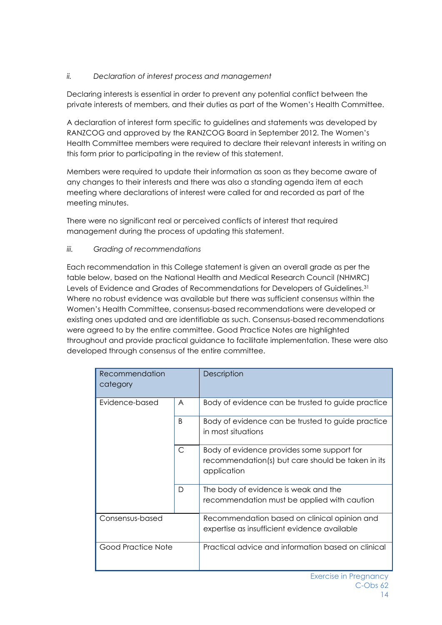## *ii. Declaration of interest process and management*

Declaring interests is essential in order to prevent any potential conflict between the private interests of members, and their duties as part of the Women's Health Committee.

A declaration of interest form specific to guidelines and statements was developed by RANZCOG and approved by the RANZCOG Board in September 2012. The Women's Health Committee members were required to declare their relevant interests in writing on this form prior to participating in the review of this statement.

Members were required to update their information as soon as they become aware of any changes to their interests and there was also a standing agenda item at each meeting where declarations of interest were called for and recorded as part of the meeting minutes.

There were no significant real or perceived conflicts of interest that required management during the process of updating this statement.

## *iii. Grading of recommendations*

Each recommendation in this College statement is given an overall grade as per the table below, based on the National Health and Medical Research Council (NHMRC) Levels of Evidence and Grades of Recommendations for Developers of Guidelines.<sup>31</sup> Where no robust evidence was available but there was sufficient consensus within the Women's Health Committee, consensus-based recommendations were developed or existing ones updated and are identifiable as such. Consensus-based recommendations were agreed to by the entire committee. Good Practice Notes are highlighted throughout and provide practical guidance to facilitate implementation. These were also developed through consensus of the entire committee.

| Recommendation<br>category |              | Description                                                                                                    |
|----------------------------|--------------|----------------------------------------------------------------------------------------------------------------|
| Evidence-based             | A            | Body of evidence can be trusted to guide practice                                                              |
|                            | B.           | Body of evidence can be trusted to guide practice<br>in most situations                                        |
|                            | $\mathsf{C}$ | Body of evidence provides some support for<br>recommendation(s) but care should be taken in its<br>application |
|                            | D            | The body of evidence is weak and the<br>recommendation must be applied with caution                            |
| Consensus-based            |              | Recommendation based on clinical opinion and<br>expertise as insufficient evidence available                   |
| Good Practice Note         |              | Practical advice and information based on clinical                                                             |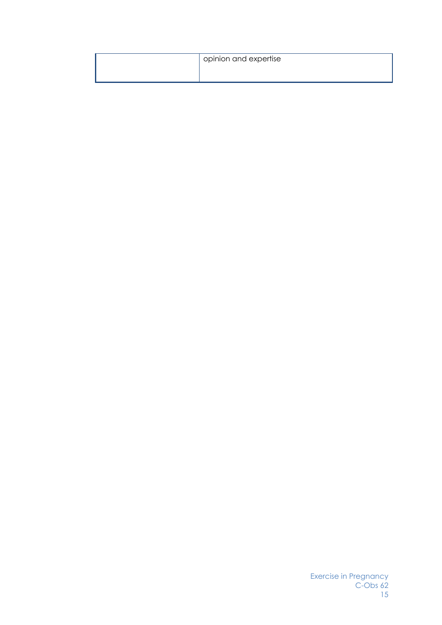| opinion and expertise |
|-----------------------|
|                       |